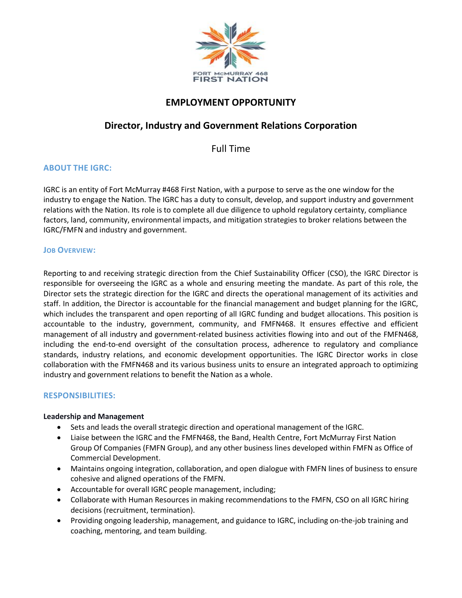

# **EMPLOYMENT OPPORTUNITY**

# **Director, Industry and Government Relations Corporation**

Full Time

# **ABOUT THE IGRC:**

IGRC is an entity of Fort McMurray #468 First Nation, with a purpose to serve as the one window for the industry to engage the Nation. The IGRC has a duty to consult, develop, and support industry and government relations with the Nation. Its role is to complete all due diligence to uphold regulatory certainty, compliance factors, land, community, environmental impacts, and mitigation strategies to broker relations between the IGRC/FMFN and industry and government.

### **JOB OVERVIEW:**

Reporting to and receiving strategic direction from the Chief Sustainability Officer (CSO), the IGRC Director is responsible for overseeing the IGRC as a whole and ensuring meeting the mandate. As part of this role, the Director sets the strategic direction for the IGRC and directs the operational management of its activities and staff. In addition, the Director is accountable for the financial management and budget planning for the IGRC, which includes the transparent and open reporting of all IGRC funding and budget allocations. This position is accountable to the industry, government, community, and FMFN468. It ensures effective and efficient management of all industry and government-related business activities flowing into and out of the FMFN468, including the end-to-end oversight of the consultation process, adherence to regulatory and compliance standards, industry relations, and economic development opportunities. The IGRC Director works in close collaboration with the FMFN468 and its various business units to ensure an integrated approach to optimizing industry and government relations to benefit the Nation as a whole.

# **RESPONSIBILITIES:**

#### **Leadership and Management**

- Sets and leads the overall strategic direction and operational management of the IGRC.
- Liaise between the IGRC and the FMFN468, the Band, Health Centre, Fort McMurray First Nation Group Of Companies (FMFN Group), and any other business lines developed within FMFN as Office of Commercial Development.
- Maintains ongoing integration, collaboration, and open dialogue with FMFN lines of business to ensure cohesive and aligned operations of the FMFN.
- Accountable for overall IGRC people management, including;
- Collaborate with Human Resources in making recommendations to the FMFN, CSO on all IGRC hiring decisions (recruitment, termination).
- Providing ongoing leadership, management, and guidance to IGRC, including on-the-job training and coaching, mentoring, and team building.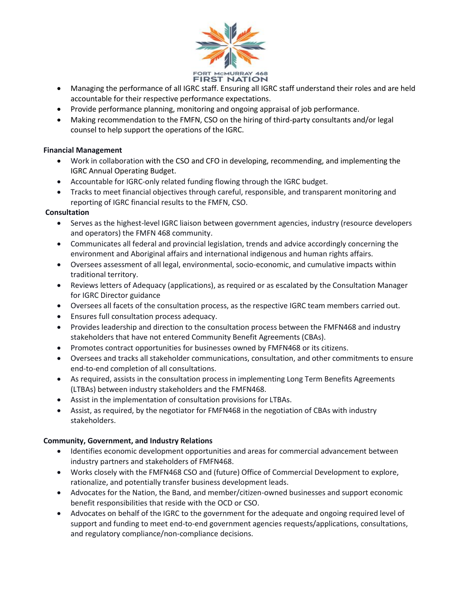

- Managing the performance of all IGRC staff. Ensuring all IGRC staff understand their roles and are held accountable for their respective performance expectations.
- Provide performance planning, monitoring and ongoing appraisal of job performance.
- Making recommendation to the FMFN, CSO on the hiring of third-party consultants and/or legal counsel to help support the operations of the IGRC.

### **Financial Management**

- Work in collaboration with the CSO and CFO in developing, recommending, and implementing the IGRC Annual Operating Budget.
- Accountable for IGRC-only related funding flowing through the IGRC budget.
- Tracks to meet financial objectives through careful, responsible, and transparent monitoring and reporting of IGRC financial results to the FMFN, CSO.

### **Consultation**

- Serves as the highest-level IGRC liaison between government agencies, industry (resource developers and operators) the FMFN 468 community.
- Communicates all federal and provincial legislation, trends and advice accordingly concerning the environment and Aboriginal affairs and international indigenous and human rights affairs.
- Oversees assessment of all legal, environmental, socio-economic, and cumulative impacts within traditional territory.
- Reviews letters of Adequacy (applications), as required or as escalated by the Consultation Manager for IGRC Director guidance
- Oversees all facets of the consultation process, as the respective IGRC team members carried out.
- Ensures full consultation process adequacy.
- Provides leadership and direction to the consultation process between the FMFN468 and industry stakeholders that have not entered Community Benefit Agreements (CBAs).
- Promotes contract opportunities for businesses owned by FMFN468 or its citizens.
- Oversees and tracks all stakeholder communications, consultation, and other commitments to ensure end-to-end completion of all consultations.
- As required, assists in the consultation process in implementing Long Term Benefits Agreements (LTBAs) between industry stakeholders and the FMFN468.
- Assist in the implementation of consultation provisions for LTBAs.
- Assist, as required, by the negotiator for FMFN468 in the negotiation of CBAs with industry stakeholders.

# **Community, Government, and Industry Relations**

- Identifies economic development opportunities and areas for commercial advancement between industry partners and stakeholders of FMFN468.
- Works closely with the FMFN468 CSO and (future) Office of Commercial Development to explore, rationalize, and potentially transfer business development leads.
- Advocates for the Nation, the Band, and member/citizen-owned businesses and support economic benefit responsibilities that reside with the OCD or CSO.
- Advocates on behalf of the IGRC to the government for the adequate and ongoing required level of support and funding to meet end-to-end government agencies requests/applications, consultations, and regulatory compliance/non-compliance decisions.